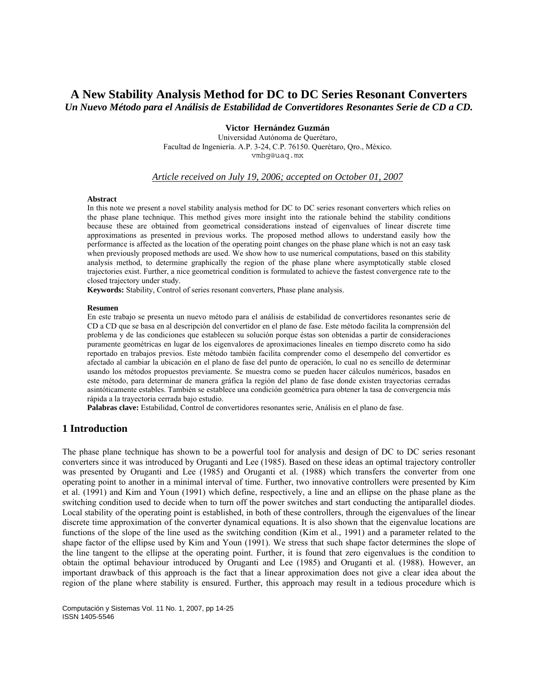# **A New Stability Analysis Method for DC to DC Series Resonant Converters**  *Un Nuevo Método para el Análisis de Estabilidad de Convertidores Resonantes Serie de CD a CD.*

## **Victor Hernández Guzmán**

Universidad Autónoma de Querétaro, Facultad de Ingeniería. A.P. 3-24, C.P. 76150. Querétaro, Qro., México. vmhg@uaq.mx

### *Article received on July 19, 2006; accepted on October 01, 2007*

#### **Abstract**

In this note we present a novel stability analysis method for DC to DC series resonant converters which relies on the phase plane technique. This method gives more insight into the rationale behind the stability conditions because these are obtained from geometrical considerations instead of eigenvalues of linear discrete time approximations as presented in previous works. The proposed method allows to understand easily how the performance is affected as the location of the operating point changes on the phase plane which is not an easy task when previously proposed methods are used. We show how to use numerical computations, based on this stability analysis method, to determine graphically the region of the phase plane where asymptotically stable closed trajectories exist. Further, a nice geometrical condition is formulated to achieve the fastest convergence rate to the closed trajectory under study.

**Keywords:** Stability, Control of series resonant converters, Phase plane analysis.

## **Resumen**

En este trabajo se presenta un nuevo método para el análisis de estabilidad de convertidores resonantes serie de CD a CD que se basa en al descripción del convertidor en el plano de fase. Este método facilita la comprensión del problema y de las condiciones que establecen su solución porque éstas son obtenidas a partir de consideraciones puramente geométricas en lugar de los eigenvalores de aproximaciones lineales en tiempo discreto como ha sido reportado en trabajos previos. Este método también facilita comprender como el desempeño del convertidor es afectado al cambiar la ubicación en el plano de fase del punto de operación, lo cual no es sencillo de determinar usando los métodos propuestos previamente. Se muestra como se pueden hacer cálculos numéricos, basados en este método, para determinar de manera gráfica la región del plano de fase donde existen trayectorias cerradas asintóticamente estables. También se establece una condición geométrica para obtener la tasa de convergencia más rápida a la trayectoria cerrada bajo estudio.

**Palabras clave:** Estabilidad, Control de convertidores resonantes serie, Análisis en el plano de fase.

## **1 Introduction**

The phase plane technique has shown to be a powerful tool for analysis and design of DC to DC series resonant converters since it was introduced by Oruganti and Lee (1985). Based on these ideas an optimal trajectory controller was presented by Oruganti and Lee (1985) and Oruganti et al. (1988) which transfers the converter from one operating point to another in a minimal interval of time. Further, two innovative controllers were presented by Kim et al. (1991) and Kim and Youn (1991) which define, respectively, a line and an ellipse on the phase plane as the switching condition used to decide when to turn off the power switches and start conducting the antiparallel diodes. Local stability of the operating point is established, in both of these controllers, through the eigenvalues of the linear discrete time approximation of the converter dynamical equations. It is also shown that the eigenvalue locations are functions of the slope of the line used as the switching condition (Kim et al., 1991) and a parameter related to the shape factor of the ellipse used by Kim and Youn (1991). We stress that such shape factor determines the slope of the line tangent to the ellipse at the operating point. Further, it is found that zero eigenvalues is the condition to obtain the optimal behaviour introduced by Oruganti and Lee (1985) and Oruganti et al. (1988). However, an important drawback of this approach is the fact that a linear approximation does not give a clear idea about the region of the plane where stability is ensured. Further, this approach may result in a tedious procedure which is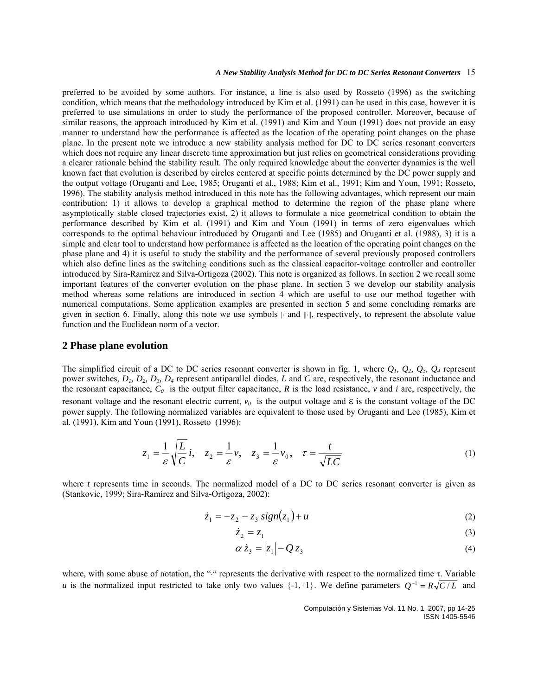preferred to be avoided by some authors. For instance, a line is also used by Rosseto (1996) as the switching condition, which means that the methodology introduced by Kim et al. (1991) can be used in this case, however it is preferred to use simulations in order to study the performance of the proposed controller. Moreover, because of similar reasons, the approach introduced by Kim et al. (1991) and Kim and Youn (1991) does not provide an easy manner to understand how the performance is affected as the location of the operating point changes on the phase plane. In the present note we introduce a new stability analysis method for DC to DC series resonant converters which does not require any linear discrete time approximation but just relies on geometrical considerations providing a clearer rationale behind the stability result. The only required knowledge about the converter dynamics is the well known fact that evolution is described by circles centered at specific points determined by the DC power supply and the output voltage (Oruganti and Lee, 1985; Oruganti et al., 1988; Kim et al., 1991; Kim and Youn, 1991; Rosseto, 1996). The stability analysis method introduced in this note has the following advantages, which represent our main contribution: 1) it allows to develop a graphical method to determine the region of the phase plane where asymptotically stable closed trajectories exist, 2) it allows to formulate a nice geometrical condition to obtain the performance described by Kim et al. (1991) and Kim and Youn (1991) in terms of zero eigenvalues which corresponds to the optimal behaviour introduced by Oruganti and Lee (1985) and Oruganti et al. (1988), 3) it is a simple and clear tool to understand how performance is affected as the location of the operating point changes on the phase plane and 4) it is useful to study the stability and the performance of several previously proposed controllers which also define lines as the switching conditions such as the classical capacitor-voltage controller and controller introduced by Sira-Ramírez and Silva-Ortigoza (2002). This note is organized as follows. In section 2 we recall some important features of the converter evolution on the phase plane. In section 3 we develop our stability analysis method whereas some relations are introduced in section 4 which are useful to use our method together with numerical computations. Some application examples are presented in section 5 and some concluding remarks are given in section 6. Finally, along this note we use symbols |⋅| and ||⋅||, respectively, to represent the absolute value function and the Euclidean norm of a vector.

## **2 Phase plane evolution**

The simplified circuit of a DC to DC series resonant converter is shown in fig. 1, where  $Q_1$ ,  $Q_2$ ,  $Q_3$ ,  $Q_4$  represent power switches, *D1, D2, D3, D4* represent antiparallel diodes, *L* and *C* are, respectively, the resonant inductance and the resonant capacitance,  $C_0$  is the output filter capacitance, R is the load resistance,  $\nu$  and  $i$  are, respectively, the resonant voltage and the resonant electric current,  $v_0$  is the output voltage and  $\varepsilon$  is the constant voltage of the DC power supply. The following normalized variables are equivalent to those used by Oruganti and Lee (1985), Kim et al. (1991), Kim and Youn (1991), Rosseto (1996):

$$
z_1 = \frac{1}{\varepsilon} \sqrt{\frac{L}{C}} i, \quad z_2 = \frac{1}{\varepsilon} \nu, \quad z_3 = \frac{1}{\varepsilon} \nu_0, \quad \tau = \frac{t}{\sqrt{LC}}
$$
 (1)

where *t* represents time in seconds. The normalized model of a DC to DC series resonant converter is given as (Stankovic, 1999; Sira-Ramírez and Silva-Ortigoza, 2002):

$$
\dot{z}_1 = -z_2 - z_3 \, sign(z_1) + u \tag{2}
$$

 $\dot{z}_2 = z_1$  (3)

$$
\alpha \dot{z}_3 = |z_1| - Q z_3 \tag{4}
$$

where, with some abuse of notation, the "<sup>0</sup>" represents the derivative with respect to the normalized time τ. Variable *u* is the normalized input restricted to take only two values  $\{-1, +1\}$ . We define parameters  $Q^{-1} = R\sqrt{C/L}$  and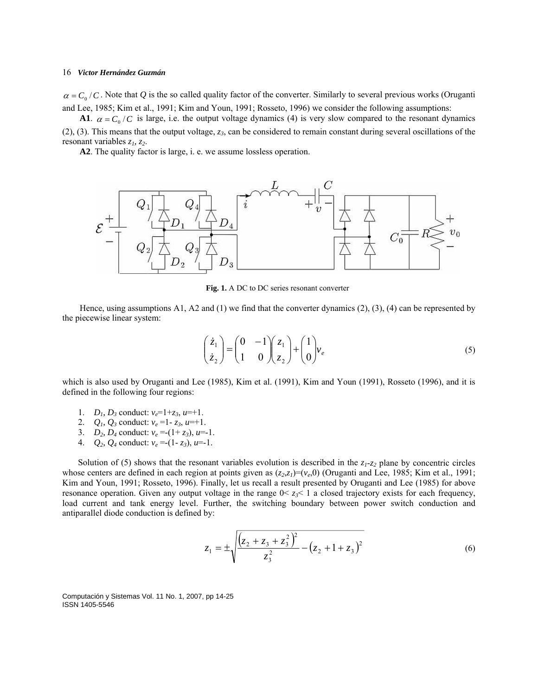$\alpha = C_0/C$ . Note that Q is the so called quality factor of the converter. Similarly to several previous works (Oruganti and Lee, 1985; Kim et al., 1991; Kim and Youn, 1991; Rosseto, 1996) we consider the following assumptions:

**A1**.  $\alpha = C_0 / C$  is large, i.e. the output voltage dynamics (4) is very slow compared to the resonant dynamics (2), (3). This means that the output voltage, *z3*, can be considered to remain constant during several oscillations of the resonant variables  $z_1$ ,  $z_2$ .

**A2**. The quality factor is large, i. e. we assume lossless operation.



**Fig. 1.** A DC to DC series resonant converter

Hence, using assumptions A1, A2 and (1) we find that the converter dynamics (2), (3), (4) can be represented by the piecewise linear system:

$$
\begin{pmatrix} \dot{z}_1 \\ \dot{z}_2 \end{pmatrix} = \begin{pmatrix} 0 & -1 \\ 1 & 0 \end{pmatrix} \begin{pmatrix} z_1 \\ z_2 \end{pmatrix} + \begin{pmatrix} 1 \\ 0 \end{pmatrix} v_e \tag{5}
$$

which is also used by Oruganti and Lee (1985), Kim et al. (1991), Kim and Youn (1991), Rosseto (1996), and it is defined in the following four regions:

- 1. *D<sub>1</sub>*, *D<sub>3</sub>* conduct:  $v_e=1+z_3$ ,  $u=+1$ .
- 2.  $Q_1$ ,  $Q_3$  conduct:  $v_e = 1 z_3$ ,  $u = +1$ .
- 3. *D*<sub>2</sub>, *D*<sub>4</sub> conduct:  $v_e = (1 + z_3)$ , *u*=-1.
- 4.  $Q_2$ ,  $Q_4$  conduct:  $v_e = (1 z_3)$ ,  $u = -1$ .

Solution of (5) shows that the resonant variables evolution is described in the  $z_1$ - $z_2$  plane by concentric circles whose centers are defined in each region at points given as  $(z_2, z_1)=(v_e, 0)$  (Oruganti and Lee, 1985; Kim et al., 1991; Kim and Youn, 1991; Rosseto, 1996). Finally, let us recall a result presented by Oruganti and Lee (1985) for above resonance operation. Given any output voltage in the range  $0 \le z_3 \le 1$  a closed trajectory exists for each frequency, load current and tank energy level. Further, the switching boundary between power switch conduction and antiparallel diode conduction is defined by:

$$
z_1 = \pm \sqrt{\frac{(z_2 + z_3 + z_3)^2}{z_3^2} - (z_2 + 1 + z_3)^2}
$$
 (6)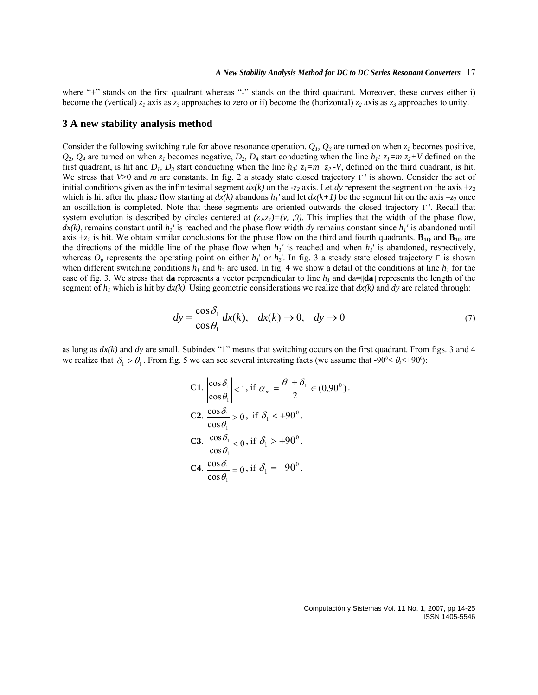where "+" stands on the first quadrant whereas "-" stands on the third quadrant. Moreover, these curves either i) become the (vertical)  $z_1$  axis as  $z_3$  approaches to zero or ii) become the (horizontal)  $z_2$  axis as  $z_3$  approaches to unity.

## **3 A new stability analysis method**

Consider the following switching rule for above resonance operation.  $Q_i$ ,  $Q_3$  are turned on when  $z_i$  becomes positive,  $Q_2$ ,  $Q_4$  are turned on when  $z_1$  becomes negative,  $D_2$ ,  $D_4$  start conducting when the line  $h_1$ :  $z_1 = m z_2 + V$  defined on the first quadrant, is hit and  $D_1$ ,  $D_3$  start conducting when the line  $h_3$ :  $z_1=m$   $z_2$ -V, defined on the third quadrant, is hit. We stress that *V*>0 and *m* are constants. In fig. 2 a steady state closed trajectory Γ ' is shown. Consider the set of initial conditions given as the infinitesimal segment  $dx(k)$  on the  $-z_2$  axis. Let *dy* represent the segment on the axis  $+z_2$ which is hit after the phase flow starting at  $dx(k)$  abandons  $h_1'$  and let  $dx(k+1)$  be the segment hit on the axis  $-z_2$  once an oscillation is completed. Note that these segments are oriented outwards the closed trajectory Γ '. Recall that system evolution is described by circles centered at  $(z_2, z_1)=(v_e, 0)$ . This implies that the width of the phase flow,  $dx(k)$ , remains constant until  $h_l$ ' is reached and the phase flow width *dy* remains constant since  $h_l$ ' is abandoned until axis  $+z_2$  is hit. We obtain similar conclusions for the phase flow on the third and fourth quadrants.  $B_{1Q}$  and  $B_{1D}$  are the directions of the middle line of the phase flow when  $h_1$ ' is reached and when  $h_1$ ' is abandoned, respectively, whereas *Op* represents the operating point on either *h1*' or *h3*'. In fig. 3 a steady state closed trajectory Γ is shown when different switching conditions  $h_1$  and  $h_3$  are used. In fig. 4 we show a detail of the conditions at line  $h_1$  for the case of fig. 3. We stress that **da** represents a vector perpendicular to line  $h_l$  and da= $\|\mathbf{da}\|$  represents the length of the segment of  $h_1$  which is hit by  $dx(k)$ . Using geometric considerations we realize that  $dx(k)$  and  $dy$  are related through:

$$
dy = \frac{\cos \delta_1}{\cos \theta_1} dx(k), \quad dx(k) \to 0, \quad dy \to 0
$$
 (7)

as long as  $dx(k)$  and  $dy$  are small. Subindex "1" means that switching occurs on the first quadrant. From figs. 3 and 4 we realize that  $\delta_1 > \theta_1$ . From fig. 5 we can see several interesting facts (we assume that -90 $\ll \theta_1 < +90$ <sup>o</sup>):

\n- **C1.** 
$$
\left| \frac{\cos \delta_1}{\cos \theta_1} \right| < 1
$$
, if  $\alpha_m = \frac{\theta_1 + \delta_1}{2} \in (0.90^\circ)$ .
\n- **C2.**  $\frac{\cos \delta_1}{\cos \theta_1} > 0$ , if  $\delta_1 < +90^\circ$ .
\n- **C3.**  $\frac{\cos \delta_1}{\cos \theta_1} < 0$ , if  $\delta_1 > +90^\circ$ .
\n- **C4.**  $\frac{\cos \delta_1}{\cos \theta_1} = 0$ , if  $\delta_1 = +90^\circ$ .
\n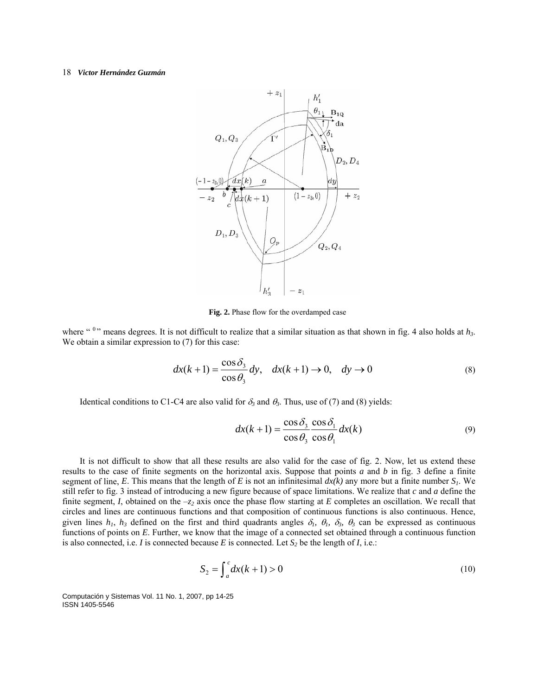

**Fig. 2.** Phase flow for the overdamped case

where " $0$ " means degrees. It is not difficult to realize that a similar situation as that shown in fig. 4 also holds at  $h_3$ . We obtain a similar expression to  $(7)$  for this case:

$$
dx(k+1) = \frac{\cos \delta_3}{\cos \theta_3} dy, \quad dx(k+1) \to 0, \quad dy \to 0
$$
 (8)

Identical conditions to C1-C4 are also valid for  $\delta_3$  and  $\theta_3$ . Thus, use of (7) and (8) yields:

$$
dx(k+1) = \frac{\cos \delta_3}{\cos \theta_3} \frac{\cos \delta_1}{\cos \theta_1} dx(k)
$$
\n(9)

It is not difficult to show that all these results are also valid for the case of fig. 2. Now, let us extend these results to the case of finite segments on the horizontal axis. Suppose that points *a* and *b* in fig. 3 define a finite segment of line, *E*. This means that the length of *E* is not an infinitesimal  $dx(k)$  any more but a finite number  $S<sub>1</sub>$ . We still refer to fig. 3 instead of introducing a new figure because of space limitations. We realize that *c* and *a* define the finite segment, *I*, obtained on the  $-z_2$  axis once the phase flow starting at *E* completes an oscillation. We recall that circles and lines are continuous functions and that composition of continuous functions is also continuous. Hence, given lines  $h_1$ ,  $h_3$  defined on the first and third quadrants angles  $\delta_1$ ,  $\theta_1$ ,  $\delta_3$ ,  $\theta_3$  can be expressed as continuous functions of points on *E*. Further, we know that the image of a connected set obtained through a continuous function is also connected, i.e. *I* is connected because *E* is connected. Let  $S_2$  be the length of *I*, i.e.:

$$
S_2 = \int_a^c dx(k+1) > 0
$$
 (10)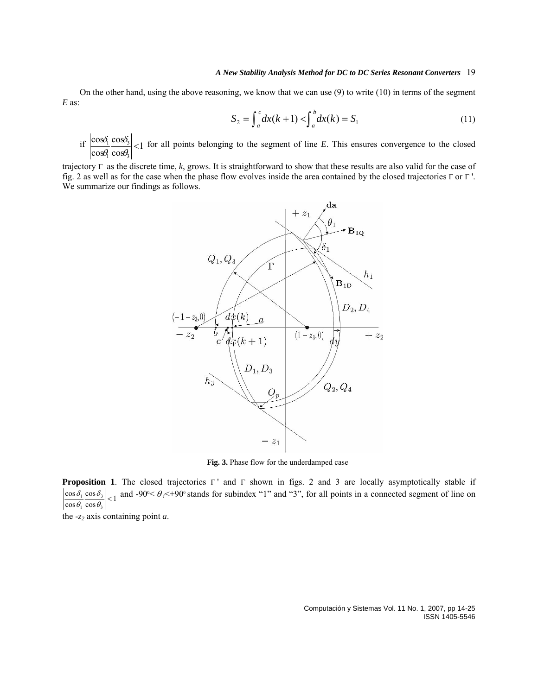On the other hand, using the above reasoning, we know that we can use (9) to write (10) in terms of the segment *E* as:

$$
S_2 = \int_a^c dx(k+1) < \int_a^b dx(k) = S_1 \tag{11}
$$

if  $\left|\frac{\cos\theta_1}{2}\right| \leq 1$ cos cos cos cos 3 3 1  $\frac{1}{\alpha} \frac{\cos \theta_3}{\cos \theta_1}$ δ θ  $\frac{\delta_1 \cos \delta_3}{\delta_1}$  for all points belonging to the segment of line *E*. This ensures convergence to the closed

trajectory Γ as the discrete time, *k*, grows. It is straightforward to show that these results are also valid for the case of fig. 2 as well as for the case when the phase flow evolves inside the area contained by the closed trajectories Γ or Γ '. We summarize our findings as follows.



**Fig. 3.** Phase flow for the underdamped case

**Proposition 1**. The closed trajectories Γ' and Γ shown in figs. 2 and 3 are locally asymptotically stable if  $\left|\frac{\cos \delta_1}{\cos \theta_1} \frac{\cos \delta_3}{\cos \theta_4}\right|$  < 1 and -90<sup>o</sup>  $\lt \theta_i$  < +90<sup>o</sup> stands for subindex "1" and "3", for all points in a connected segment of line on  $\cos\theta_1 \cos\theta_3$ 

the -*z2* axis containing point *a*.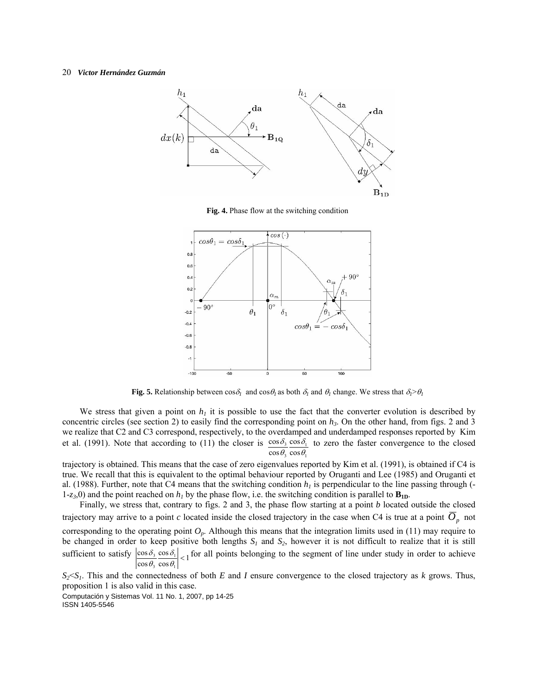

**Fig. 4.** Phase flow at the switching condition



**Fig. 5.** Relationship between  $\cos\delta_l$  and  $\cos\theta_l$  as both  $\delta_l$  and  $\theta_l$  change. We stress that  $\delta_l > \theta_l$ 

We stress that given a point on  $h_1$  it is possible to use the fact that the converter evolution is described by concentric circles (see section 2) to easily find the corresponding point on  $h_3$ . On the other hand, from figs. 2 and 3 we realize that C2 and C3 correspond, respectively, to the overdamped and underdamped responses reported by Kim et al. (1991). Note that according to (11) the closer is  $\cos \delta_3 \cos \delta_1$  to zero the faster convergence to the closed  $\cos\theta_3 \cos\theta_1$ 

trajectory is obtained. This means that the case of zero eigenvalues reported by Kim et al. (1991), is obtained if C4 is true. We recall that this is equivalent to the optimal behaviour reported by Oruganti and Lee (1985) and Oruganti et al. (1988). Further, note that C4 means that the switching condition  $h<sub>l</sub>$  is perpendicular to the line passing through (-1-*z*<sub>3</sub>,0) and the point reached on  $h_l$  by the phase flow, i.e. the switching condition is parallel to  $\mathbf{B}_{\text{1D}}$ .

Finally, we stress that, contrary to figs. 2 and 3, the phase flow starting at a point *b* located outside the closed trajectory may arrive to a point *c* located inside the closed trajectory in the case when C4 is true at a point  $O_p$  not

corresponding to the operating point  $O_p$ . Although this means that the integration limits used in (11) may require to be changed in order to keep positive both lengths  $S_1$  and  $S_2$ , however it is not difficult to realize that it is still sufficient to satisfy  $\left|\frac{\cos \delta_3}{\cos \theta_3} \frac{\cos \delta_1}{\cos \theta_1}\right| < 1$ cos cos 1 1 3  $\frac{3}{2} \frac{\cos \theta_1}{\cos \theta_2}$  < δ θ  $\delta_3$  cos  $\delta_1$   $\Big|$  for all points belonging to the segment of line under study in order to achieve

 $S_2 \le S_1$ . This and the connectedness of both *E* and *I* ensure convergence to the closed trajectory as *k* grows. Thus, proposition 1 is also valid in this case.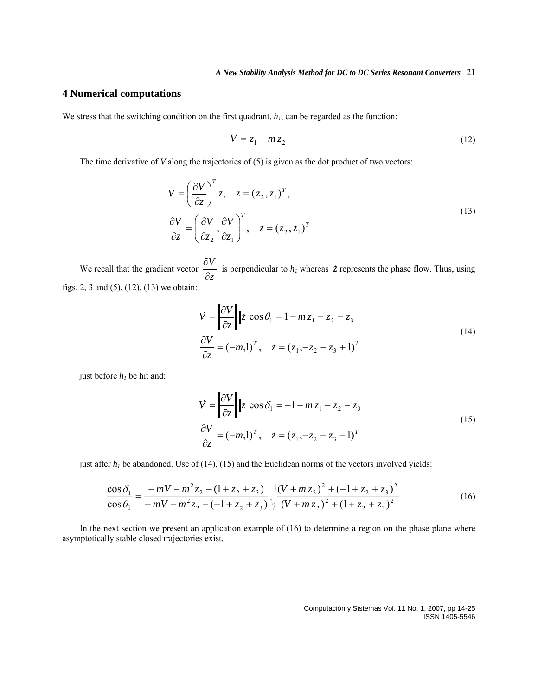## **4 Numerical computations**

We stress that the switching condition on the first quadrant,  $h_1$ , can be regarded as the function:

$$
V = z_1 - m z_2 \tag{12}
$$

The time derivative of *V* along the trajectories of (5) is given as the dot product of two vectors:

$$
\dot{V} = \left(\frac{\partial V}{\partial z}\right)^{T} z, \quad z = (z_2, z_1)^{T},
$$
\n
$$
\frac{\partial V}{\partial z} = \left(\frac{\partial V}{\partial z_2}, \frac{\partial V}{\partial z_1}\right)^{T}, \quad z = (z_2, z_1)^{T}
$$
\n(13)

We recall that the gradient vector  $\frac{\partial^2 f}{\partial z^2}$ *V* ∂  $\frac{\partial V}{\partial \tau}$  is perpendicular to *h<sub>1</sub>* whereas *z* represents the phase flow. Thus, using figs. 2, 3 and (5), (12), (13) we obtain:

$$
\vec{V} = \left\| \frac{\partial V}{\partial z} \right\| |z| \cos \theta_1 = 1 - m z_1 - z_2 - z_3
$$
\n
$$
\frac{\partial V}{\partial z} = (-m,1)^T, \quad z = (z_1, -z_2 - z_3 + 1)^T
$$
\n(14)

just before  $h_1$  be hit and:

$$
V = \left\| \frac{\partial V}{\partial z} \right\| |z| \cos \delta_1 = -1 - m z_1 - z_2 - z_3
$$
  
\n
$$
\frac{\partial V}{\partial z} = (-m,1)^T, \quad z = (z_1, -z_2 - z_3 - 1)^T
$$
\n(15)

just after  $h_1$  be abandoned. Use of (14), (15) and the Euclidean norms of the vectors involved yields:

$$
\frac{\cos \delta_1}{\cos \theta_1} = \frac{-mV - m^2 z_2 - (1 + z_2 + z_3)}{-mV - m^2 z_2 - (-1 + z_2 + z_3)} \sqrt{\frac{(V + m z_2)^2 + (-1 + z_2 + z_3)^2}{(V + m z_2)^2 + (1 + z_2 + z_3)^2}}
$$
(16)

In the next section we present an application example of (16) to determine a region on the phase plane where asymptotically stable closed trajectories exist.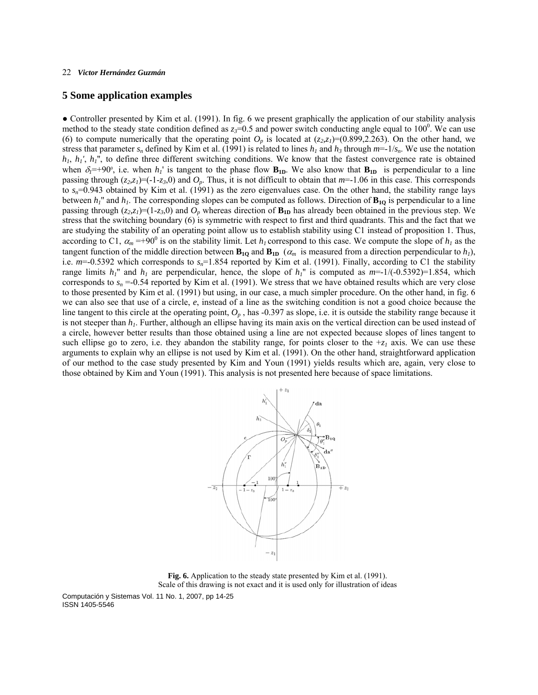## **5 Some application examples**

• Controller presented by Kim et al. (1991). In fig. 6 we present graphically the application of our stability analysis method to the steady state condition defined as  $z_3=0.5$  and power switch conducting angle equal to  $100^\circ$ . We can use (6) to compute numerically that the operating point  $O_p$  is located at  $(z_2, z_1)=(0.899, 2.263)$ . On the other hand, we stress that parameter  $s_n$  defined by Kim et al. (1991) is related to lines  $h_1$  and  $h_3$  through  $m=1/s_n$ . We use the notation *h<sub>1</sub>*, *h<sub>1</sub>'*, *h<sub>1</sub>''*, to define three different switching conditions. We know that the fastest convergence rate is obtained when  $\delta_l$ =+90°, i.e. when  $h_l$  is tangent to the phase flow  $\mathbf{B}_{1D}$ . We also know that  $\mathbf{B}_{1D}$  is perpendicular to a line passing through  $(z_2, z_1) = (-1 - z_3, 0)$  and  $O_p$ . Thus, it is not difficult to obtain that  $m=1.06$  in this case. This corresponds to  $s_n$ =0.943 obtained by Kim et al. (1991) as the zero eigenvalues case. On the other hand, the stability range lays between  $h_l$ <sup>"</sup> and  $h_l$ . The corresponding slopes can be computed as follows. Direction of  $B_{1Q}$  is perpendicular to a line passing through  $(z_2, z_1) = (1-z_3, 0)$  and  $O_p$  whereas direction of  $\mathbf{B}_{1D}$  has already been obtained in the previous step. We stress that the switching boundary (6) is symmetric with respect to first and third quadrants. This and the fact that we are studying the stability of an operating point allow us to establish stability using C1 instead of proposition 1. Thus, according to C1,  $\alpha_m = +90^\circ$  is on the stability limit. Let  $h_l$  correspond to this case. We compute the slope of  $h_l$  as the tangent function of the middle direction between  $\mathbf{B}_{1Q}$  and  $\mathbf{B}_{1D}$  ( $\alpha_m$  is measured from a direction perpendicular to  $h_l$ ), i.e. *m*=-0.5392 which corresponds to *sn*=1.854 reported by Kim et al. (1991). Finally, according to C1 the stability range limits  $h_1$ <sup>"</sup> and  $h_1$  are perpendicular, hence, the slope of  $h_1$ <sup>"</sup> is computed as  $m=1/(-0.5392)=1.854$ , which corresponds to  $s_n = 0.54$  reported by Kim et al. (1991). We stress that we have obtained results which are very close to those presented by Kim et al. (1991) but using, in our case, a much simpler procedure. On the other hand, in fig. 6 we can also see that use of a circle, *e*, instead of a line as the switching condition is not a good choice because the line tangent to this circle at the operating point,  $O_p$ , has  $-0.397$  as slope, i.e. it is outside the stability range because it is not steeper than  $h_1$ . Further, although an ellipse having its main axis on the vertical direction can be used instead of a circle, however better results than those obtained using a line are not expected because slopes of lines tangent to such ellipse go to zero, i.e. they abandon the stability range, for points closer to the  $+z<sub>1</sub>$  axis. We can use these arguments to explain why an ellipse is not used by Kim et al. (1991). On the other hand, straightforward application of our method to the case study presented by Kim and Youn (1991) yields results which are, again, very close to those obtained by Kim and Youn (1991). This analysis is not presented here because of space limitations.



**Fig. 6.** Application to the steady state presented by Kim et al. (1991). Scale of this drawing is not exact and it is used only for illustration of ideas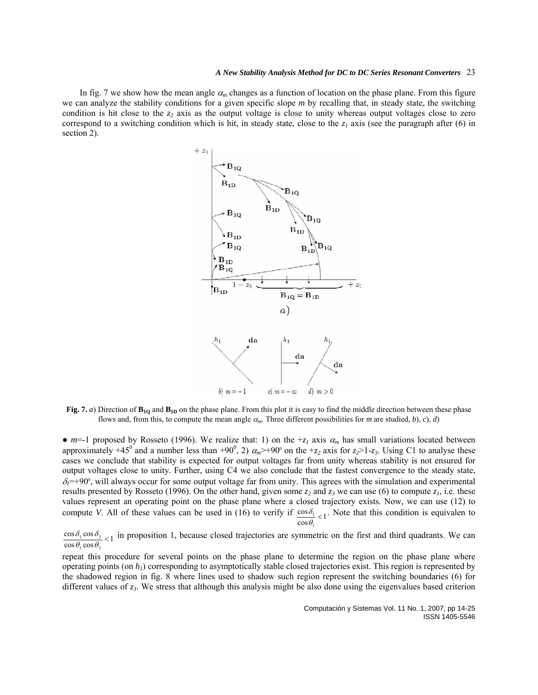In fig. 7 we show how the mean angle  $\alpha_m$  changes as a function of location on the phase plane. From this figure we can analyze the stability conditions for a given specific slope *m* by recalling that, in steady state, the switching condition is hit close to the  $z_2$  axis as the output voltage is close to unity whereas output voltages close to zero correspond to a switching condition which is hit, in steady state, close to the  $z_1$  axis (see the paragraph after (6) in section 2).



**Fig. 7.** *a*) Direction of  $\mathbf{B}_{1Q}$  and  $\mathbf{B}_{1D}$  on the phase plane. From this plot it is easy to find the middle direction between these phase flows and, from this, to compute the mean angle  $\alpha_m$ . Three different possibilities for *m* are studied, *b*), *c*), *d*)

•  $m=-1$  proposed by Rosseto (1996). We realize that: 1) on the  $+z_1$  axis  $\alpha_m$  has small variations located between approximately  $+45^{\circ}$  and a number less than  $+90^{\circ}$ , 2)  $\alpha_m$   $\geq +90^{\circ}$  on the  $+z_2$  axis for  $z_2$   $\geq 1$ - $z_3$ . Using C1 to analyse these cases we conclude that stability is expected for output voltages far from unity whereas stability is not ensured for output voltages close to unity. Further, using C4 we also conclude that the fastest convergence to the steady state,  $\delta_l$ =+90°, will always occur for some output voltage far from unity. This agrees with the simulation and experimental results presented by Rosseto (1996). On the other hand, given some  $z_2$  and  $z_3$  we can use (6) to compute  $z_1$ , i.e. these values represent an operating point on the phase plane where a closed trajectory exists. Now, we can use (12) to compute *V*. All of these values can be used in (16) to verify if  $\frac{\cos \delta_1}{\cos \theta_1}$  < 1 1  $\frac{\omega_1}{\theta_1}$  <  $\delta$ <sub>1</sub> - Note that this condition is equivalen to

 $\frac{\cos \delta_1 \cos \delta_3}{\cos \theta_1 \cos \theta_3}$  < 1  $\frac{1}{1}$  cos  $\sigma_3$  $\frac{\theta_1 \cos \theta_3}{\theta_1 \cos \theta_2}$  $\delta_1$  cos  $\delta_{3}$  <sub>c1</sub> in proposition 1, because closed trajectories are symmetric on the first and third quadrants. We can

repeat this procedure for several points on the phase plane to determine the region on the phase plane where operating points (on  $h_l$ ) corresponding to asymptotically stable closed trajectories exist. This region is represented by the shadowed region in fig. 8 where lines used to shadow such region represent the switching boundaries (6) for different values of *z3*. We stress that although this analysis might be also done using the eigenvalues based criterion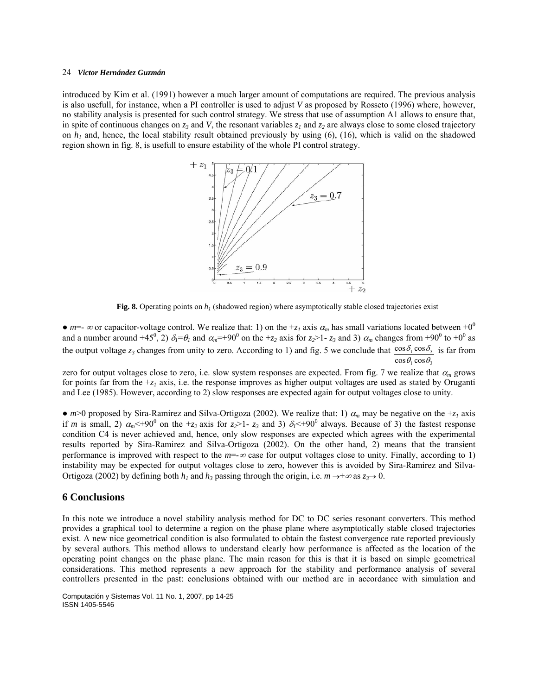introduced by Kim et al. (1991) however a much larger amount of computations are required. The previous analysis is also usefull, for instance, when a PI controller is used to adjust *V* as proposed by Rosseto (1996) where, however, no stability analysis is presented for such control strategy. We stress that use of assumption A1 allows to ensure that, in spite of continuous changes on  $z_3$  and *V*, the resonant variables  $z_1$  and  $z_2$  are always close to some closed trajectory on  $h_1$  and, hence, the local stability result obtained previously by using (6), (16), which is valid on the shadowed region shown in fig. 8, is usefull to ensure estability of the whole PI control strategy.



**Fig. 8.** Operating points on  $h_l$  (shadowed region) where asymptotically stable closed trajectories exist

•  $m=-\infty$  or capacitor-voltage control. We realize that: 1) on the  $+z<sub>I</sub>$  axis  $\alpha<sub>m</sub>$  has small variations located between  $+0<sup>0</sup>$ and a number around  $+45^0$ , 2)  $\delta_l = \theta_l$  and  $\alpha_m = +90^0$  on the  $+z_2$  axis for  $z_2 > 1$ -  $z_3$  and 3)  $\alpha_m$  changes from  $+90^0$  to  $+0^0$  as the output voltage  $z_3$  changes from unity to zero. According to 1) and fig. 5 we conclude that  $\frac{1}{1}$  cos $v_3$  $\frac{\cos\theta_1\cos\theta_3}{\cos\theta_1\cos\theta_3}$  $\cos \delta_1 \cos$ θ, cosθ  $\delta_1 \cos \delta_3$  is far from

zero for output voltages close to zero, i.e. slow system responses are expected. From fig. 7 we realize that  $\alpha_m$  grows for points far from the  $+z<sub>l</sub>$  axis, i.e. the response improves as higher output voltages are used as stated by Oruganti and Lee (1985). However, according to 2) slow responses are expected again for output voltages close to unity.

• *m*>0 proposed by Sira-Ramirez and Silva-Ortigoza (2002). We realize that: 1)  $\alpha_m$  may be negative on the +*z<sub>1</sub>* axis if *m* is small, 2)  $\alpha_m$  < +90<sup>0</sup> on the +*z*<sub>2</sub> axis for *z*<sub>2</sub>>1- *z<sub>3</sub>* and 3)  $\delta_1$  < +90<sup>0</sup> always. Because of 3) the fastest response condition C4 is never achieved and, hence, only slow responses are expected which agrees with the experimental results reported by Sira-Ramirez and Silva-Ortigoza (2002). On the other hand, 2) means that the transient performance is improved with respect to the *m*=-∞ case for output voltages close to unity. Finally, according to 1) instability may be expected for output voltages close to zero, however this is avoided by Sira-Ramirez and Silva-Ortigoza (2002) by defining both  $h_1$  and  $h_3$  passing through the origin, i.e.  $m \rightarrow +\infty$  as  $z_3 \rightarrow 0$ .

## **6 Conclusions**

In this note we introduce a novel stability analysis method for DC to DC series resonant converters. This method provides a graphical tool to determine a region on the phase plane where asymptotically stable closed trajectories exist. A new nice geometrical condition is also formulated to obtain the fastest convergence rate reported previously by several authors. This method allows to understand clearly how performance is affected as the location of the operating point changes on the phase plane. The main reason for this is that it is based on simple geometrical considerations. This method represents a new approach for the stability and performance analysis of several controllers presented in the past: conclusions obtained with our method are in accordance with simulation and